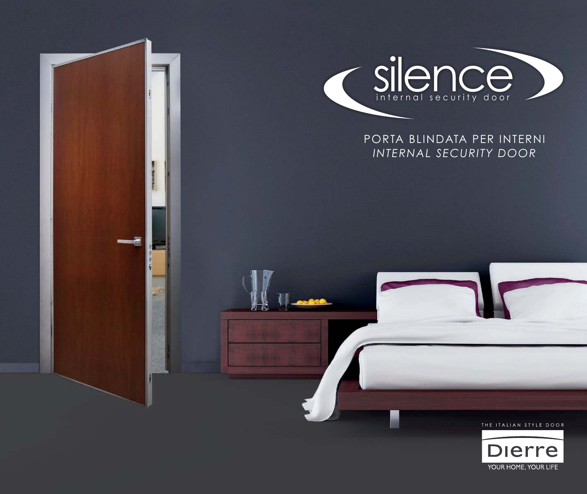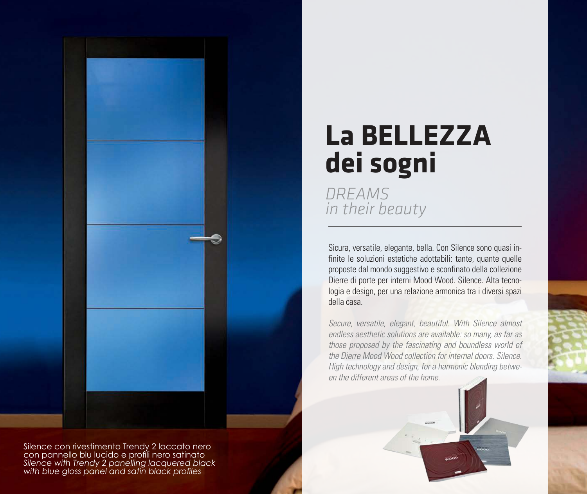

Silence con rivestimento Trendy 2 laccato nero con pannello blu lucido e profili nero satinato *Silence with Trendy 2 panelling lacquered black with blue gloss panel and satin black profiles* 

# **La BELLEZZA dei sogni**

*DREAMS in their beauty*

Sicura, versatile, elegante, bella. Con Silence sono quasi infinite le soluzioni estetiche adottabili: tante, quante quelle proposte dal mondo suggestivo e sconfinato della collezione Dierre di porte per interni Mood Wood. Silence. Alta tecnologia e design, per una relazione armonica tra i diversi spazi della casa.

Secure, versatile, elegant, beautiful. With Silence almost endless aesthetic solutions are available: so many, as far as those proposed by the fascinating and boundless world of the Dierre Mood Wood collection for internal doors. Silence. High technology and design, for a harmonic blending between the different areas of the home.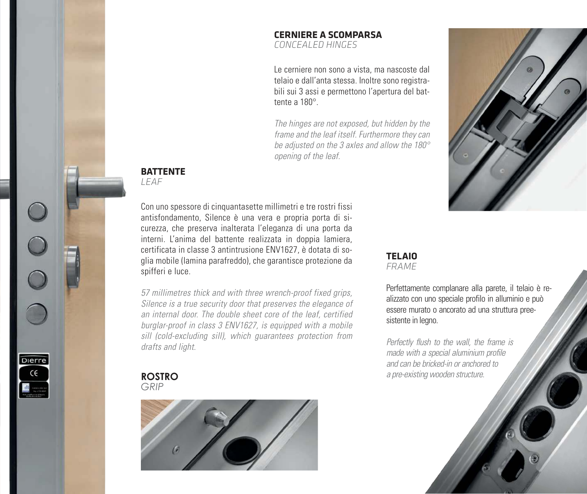### **CERNIERE A SCOMPARSA**

*CONCEALED HINGES*

Le cerniere non sono a vista, ma nascoste dal telaio e dall'anta stessa. Inoltre sono registrabili sui 3 assi e permettono l'apertura del battente a 180°

The hinges are not exposed, but hidden by the frame and the leaf itself. Furthermore they can be adjusted on the 3 axles and allow the 180° opening of the leaf.



#### **BATTENTE**

*LEAF*

Con uno spessore di cinquantasette millimetri e tre rostri fissi antisfondamento, Silence è una vera e propria porta di sicurezza, che preserva inalterata l'eleganza di una porta da interni. L'anima del battente realizzata in doppia lamiera, certificata in classe 3 antintrusione ENV1627, è dotata di soglia mobile (lamina parafreddo), che garantisce protezione da spifferi e luce.

57 millimetres thick and with three wrench-proof fixed grips, Silence is a true security door that preserves the elegance of an internal door. The double sheet core of the leaf, certified burglar-proof in class 3 ENV1627, is equipped with a mobile sill (cold-excluding sill), which guarantees protection from drafts and light.

#### **ROSTRO** *GRIP*

Dierre  $\in \infty$ 



#### **TELAIO** *FRAME*

Perfettamente complanare alla parete, il telaio è realizzato con uno speciale profilo in alluminio e può essere murato o ancorato ad una struttura preesistente in legno.

Perfectly flush to the wall, the frame is made with a special aluminium profile and can be bricked-in or anchored to a pre-existing wooden structure.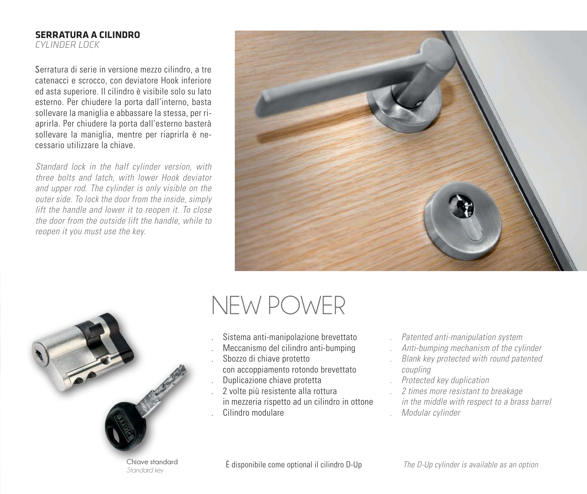#### **SERRATURA A CILINDRO**

*CYLINDER LOCK*

Serratura di serie in versione mezzo cilindro, a tre catenacci e scrocco, con deviatore Hook inferiore ed asta superiore. Il cilindro è visibile solo su lato esterno. Per chiudere la porta dall'interno, basta sollevare la maniglia e abbassare la stessa, per riaprirla. Per chiudere la porta dall'esterno basterà sollevare la maniglia, mentre per riaprirla è necessario utilizzare la chiave.

Standard lock in the half cylinder version, with three bolts and latch, with lower Hook deviator and upper rod. The cylinder is only visible on the outer side. To lock the door from the inside, simply lift the handle and lower it to reopen it. To close the door from the outside lift the handle, while to reopen it you must use the key.





### NEW POWER

- . Sistema anti-manipolazione brevettato
- . Meccanismo del cilindro anti-bumping
- . Sbozzo di chiave protetto
- con accoppiamento rotondo brevettato
- . Duplicazione chiave protetta
- . 2 volte più resistente alla rottura in mezzeria rispetto ad un cilindro in ottone . Cilindro modulare
- . Patented anti-manipulation system
- . Anti-bumping mechanism of the cylinder
- . Blank key protected with round patented coupling
- . Protected key duplication
- . 2 times more resistant to breakage in the middle with respect to a brass barrel . Modular cylinder

*Standard key*

È disponibile come optional il cilindro D-Up The D-Up cylinder is available as an option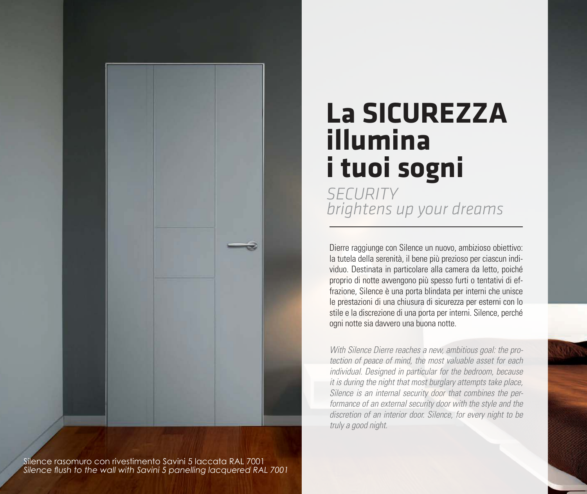

Silence rasomuro con rivestimento Savini 5 laccata RAL 7001 *Silence flush to the wall with Savini 5 panelling lacquered RAL 7001*

## **La SICUREZZA illumina i tuoi sogni**

*SECURITY brightens up your dreams*

Dierre raggiunge con Silence un nuovo, ambizioso obiettivo: la tutela della serenità, il bene più prezioso per ciascun individuo. Destinata in particolare alla camera da letto, poiché proprio di notte avvengono più spesso furti o tentativi di effrazione, Silence è una porta blindata per interni che unisce le prestazioni di una chiusura di sicurezza per esterni con lo stile e la discrezione di una porta per interni. Silence, perché ogni notte sia davvero una buona notte.

*With Silence Dierre reaches a new, ambitious goal: the protection of peace of mind, the most valuable asset for each individual. Designed in particular for the bedroom, because it is during the night that most burglary attempts take place, Silence is an internal security door that combines the per*formance of an external security door with the style and the *discretion of an interior door. Silence, for every night to be truly a good night.*